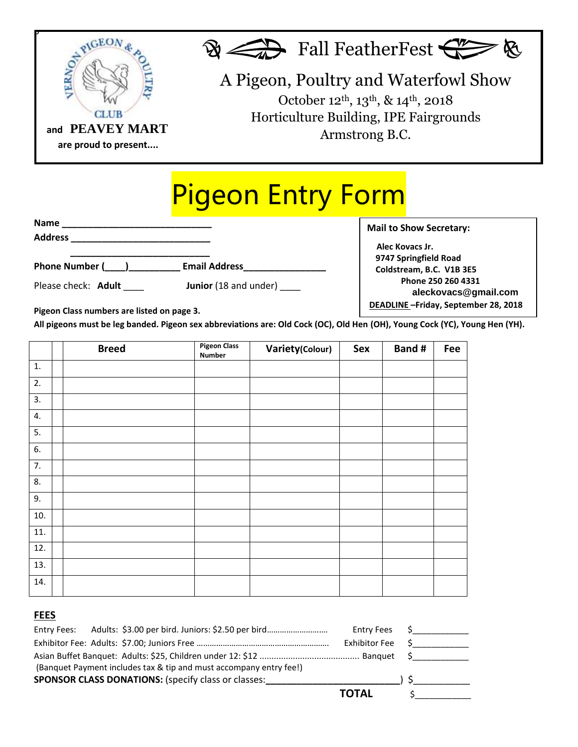

## Pigeon Entry Form

| Name                                                                                                                                                                                                                                            |                       |
|-------------------------------------------------------------------------------------------------------------------------------------------------------------------------------------------------------------------------------------------------|-----------------------|
| <b>Address</b><br>the control of the control of the control of the control of the control of the control of the control of the control of the control of the control of the control of the control of the control of the control of the control |                       |
| Phone Number ( )                                                                                                                                                                                                                                | <b>Email Address</b>  |
| Please check: Adult                                                                                                                                                                                                                             | Junior (18 and under) |

 **Alec Kovacs Jr. 9747 Springfield Road Coldstream, B.C. V1B 3E5 Phone 250 260 4331 aleckovacs@gmail.com DEADLINE –Friday, September 28, 2018**

**Mail to Show Secretary:** 

**Pigeon Class numbers are listed on page 3.**

 $\blacksquare$ All pigeons must be leg banded. Pigeon sex abbreviations are: Old Cock (OC), Old Hen (OH), Young Cock (YC), Young Hen (YH).

|     | <b>Breed</b> | <b>Pigeon Class</b><br><b>Number</b> | Variety(Colour) | Sex | Band # | Fee |
|-----|--------------|--------------------------------------|-----------------|-----|--------|-----|
| 1.  |              |                                      |                 |     |        |     |
| 2.  |              |                                      |                 |     |        |     |
| 3.  |              |                                      |                 |     |        |     |
| 4.  |              |                                      |                 |     |        |     |
| 5.  |              |                                      |                 |     |        |     |
| 6.  |              |                                      |                 |     |        |     |
| 7.  |              |                                      |                 |     |        |     |
| 8.  |              |                                      |                 |     |        |     |
| 9.  |              |                                      |                 |     |        |     |
| 10. |              |                                      |                 |     |        |     |
| 11. |              |                                      |                 |     |        |     |
| 12. |              |                                      |                 |     |        |     |
| 13. |              |                                      |                 |     |        |     |
| 14. |              |                                      |                 |     |        |     |

## **FEES**

|                                                                    |  | <b>Entry Fees</b> |  |
|--------------------------------------------------------------------|--|-------------------|--|
|                                                                    |  | Exhibitor Fee     |  |
|                                                                    |  |                   |  |
| (Banquet Payment includes tax & tip and must accompany entry fee!) |  |                   |  |
| <b>SPONSOR CLASS DONATIONS:</b> (specify class or classes:         |  |                   |  |
|                                                                    |  | <b>TOTAL</b>      |  |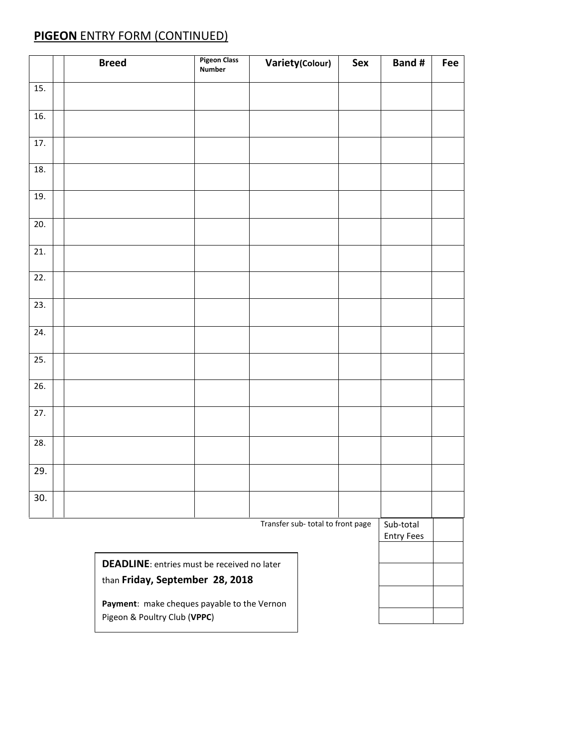## **PIGEON** ENTRY FORM (CONTINUED)

|                   | <b>Breed</b>                                                                          | <b>Pigeon Class</b><br><b>Number</b> | <b>Variety(Colour)</b> | Sex | <b>Band#</b>                   | Fee |
|-------------------|---------------------------------------------------------------------------------------|--------------------------------------|------------------------|-----|--------------------------------|-----|
| 15.               |                                                                                       |                                      |                        |     |                                |     |
| 16.               |                                                                                       |                                      |                        |     |                                |     |
| 17.               |                                                                                       |                                      |                        |     |                                |     |
| 18.               |                                                                                       |                                      |                        |     |                                |     |
| 19.               |                                                                                       |                                      |                        |     |                                |     |
| 20.               |                                                                                       |                                      |                        |     |                                |     |
| $\overline{21}$ . |                                                                                       |                                      |                        |     |                                |     |
| 22.               |                                                                                       |                                      |                        |     |                                |     |
| 23.               |                                                                                       |                                      |                        |     |                                |     |
| 24.               |                                                                                       |                                      |                        |     |                                |     |
| 25.               |                                                                                       |                                      |                        |     |                                |     |
| 26.               |                                                                                       |                                      |                        |     |                                |     |
| 27.               |                                                                                       |                                      |                        |     |                                |     |
| 28.               |                                                                                       |                                      |                        |     |                                |     |
| 29.               |                                                                                       |                                      |                        |     |                                |     |
| 30.               |                                                                                       |                                      |                        |     |                                |     |
|                   | Transfer sub-total to front page                                                      |                                      |                        |     | Sub-total<br><b>Entry Fees</b> |     |
|                   |                                                                                       |                                      |                        |     |                                |     |
|                   | <b>DEADLINE:</b> entries must be received no later<br>than Friday, September 28, 2018 |                                      |                        |     |                                |     |

**Payment**: make cheques payable to the Vernon

Pigeon & Poultry Club (**VPPC**)